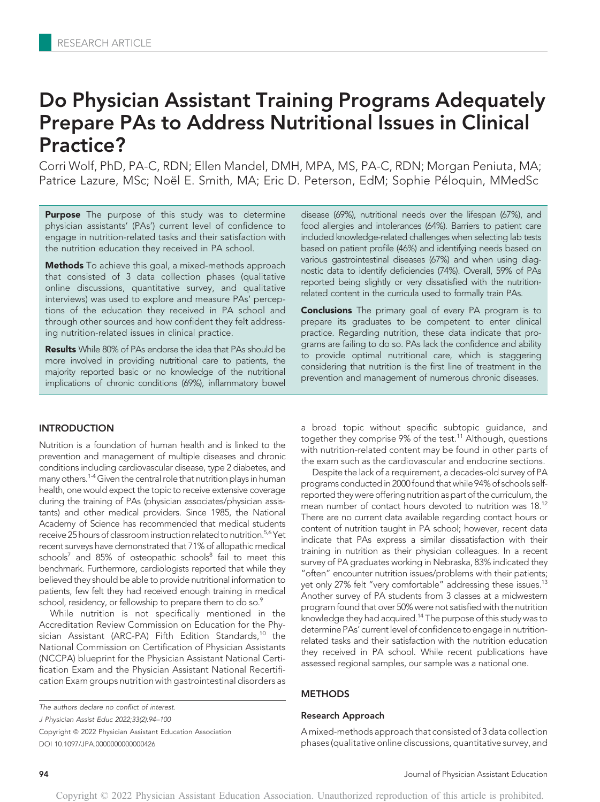# Do Physician Assistant Training Programs Adequately Prepare PAs to Address Nutritional Issues in Clinical Practice?

Corri Wolf, PhD, PA-C, RDN; Ellen Mandel, DMH, MPA, MS, PA-C, RDN; Morgan Peniuta, MA; Patrice Lazure, MSc; Noël E. Smith, MA; Eric D. Peterson, EdM; Sophie Péloquin, MMedSc

Purpose The purpose of this study was to determine physician assistants' (PAs') current level of confidence to engage in nutrition-related tasks and their satisfaction with the nutrition education they received in PA school.

Methods To achieve this goal, a mixed-methods approach that consisted of 3 data collection phases (qualitative online discussions, quantitative survey, and qualitative interviews) was used to explore and measure PAs' perceptions of the education they received in PA school and through other sources and how confident they felt addressing nutrition-related issues in clinical practice.

Results While 80% of PAs endorse the idea that PAs should be more involved in providing nutritional care to patients, the majority reported basic or no knowledge of the nutritional implications of chronic conditions (69%), inflammatory bowel

# INTRODUCTION

Nutrition is a foundation of human health and is linked to the prevention and management of multiple diseases and chronic conditions including cardiovascular disease, type 2 diabetes, and many others.<sup>1-4</sup> Given the central role that nutrition plays in human health, one would expect the topic to receive extensive coverage during the training of PAs (physician associates/physician assistants) and other medical providers. Since 1985, the National Academy of Science has recommended that medical students receive 25 hours of classroom instruction related to nutrition.<sup>5,6</sup> Yet recent surveys have demonstrated that 71% of allopathic medical schools<sup>7</sup> and 85% of osteopathic schools<sup>8</sup> fail to meet this benchmark. Furthermore, cardiologists reported that while they believed they should be able to provide nutritional information to patients, few felt they had received enough training in medical school, residency, or fellowship to prepare them to do so.<sup>9</sup>

While nutrition is not specifically mentioned in the Accreditation Review Commission on Education for the Physician Assistant (ARC-PA) Fifth Edition Standards,<sup>10</sup> the National Commission on Certification of Physician Assistants (NCCPA) blueprint for the Physician Assistant National Certification Exam and the Physician Assistant National Recertification Exam groups nutrition with gastrointestinal disorders as

The authors declare no conflict of interest.

J Physician Assist Educ 2022;33(2):94–100

Copyright © 2022 Physician Assistant Education Association DOI 10.1097/JPA.0000000000000426

disease (69%), nutritional needs over the lifespan (67%), and food allergies and intolerances (64%). Barriers to patient care included knowledge-related challenges when selecting lab tests based on patient profile (46%) and identifying needs based on various gastrointestinal diseases (67%) and when using diagnostic data to identify deficiencies (74%). Overall, 59% of PAs reported being slightly or very dissatisfied with the nutritionrelated content in the curricula used to formally train PAs.

**Conclusions** The primary goal of every PA program is to prepare its graduates to be competent to enter clinical practice. Regarding nutrition, these data indicate that programs are failing to do so. PAs lack the confidence and ability to provide optimal nutritional care, which is staggering considering that nutrition is the first line of treatment in the prevention and management of numerous chronic diseases.

a broad topic without specific subtopic guidance, and together they comprise 9% of the test.<sup>11</sup> Although, questions with nutrition-related content may be found in other parts of the exam such as the cardiovascular and endocrine sections.

Despite the lack of a requirement, a decades-old survey of PA programs conducted in 2000 found that while 94% of schools selfreported they were offering nutrition as part of the curriculum, the mean number of contact hours devoted to nutrition was 18.12 There are no current data available regarding contact hours or content of nutrition taught in PA school; however, recent data indicate that PAs express a similar dissatisfaction with their training in nutrition as their physician colleagues. In a recent survey of PA graduates working in Nebraska, 83% indicated they "often" encounter nutrition issues/problems with their patients; yet only 27% felt "very comfortable" addressing these issues.<sup>13</sup> Another survey of PA students from 3 classes at a midwestern program found that over 50% were not satisfied with the nutrition knowledge they had acquired.<sup>14</sup> The purpose of this study was to determine PAs' current level of confidence to engage in nutritionrelated tasks and their satisfaction with the nutrition education they received in PA school. While recent publications have assessed regional samples, our sample was a national one.

# METHODS

#### Research Approach

A mixed-methods approach that consisted of 3 data collection phases (qualitative online discussions, quantitative survey, and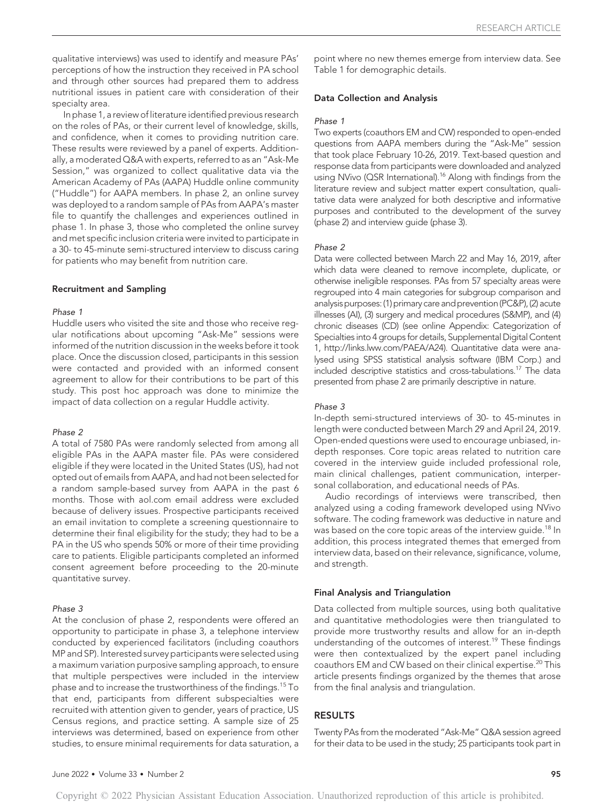qualitative interviews) was used to identify and measure PAs' perceptions of how the instruction they received in PA school and through other sources had prepared them to address nutritional issues in patient care with consideration of their specialty area.

In phase 1, a review of literature identified previous research on the roles of PAs, or their current level of knowledge, skills, and confidence, when it comes to providing nutrition care. These results were reviewed by a panel of experts. Additionally, a moderated Q&A with experts, referred to as an "Ask-Me Session," was organized to collect qualitative data via the American Academy of PAs (AAPA) Huddle online community ("Huddle") for AAPA members. In phase 2, an online survey was deployed to a random sample of PAs from AAPA's master file to quantify the challenges and experiences outlined in phase 1. In phase 3, those who completed the online survey and met specific inclusion criteria were invited to participate in a 30- to 45-minute semi-structured interview to discuss caring for patients who may benefit from nutrition care.

#### Recruitment and Sampling

#### Phase 1

Huddle users who visited the site and those who receive regular notifications about upcoming "Ask-Me" sessions were informed of the nutrition discussion in the weeks before it took place. Once the discussion closed, participants in this session were contacted and provided with an informed consent agreement to allow for their contributions to be part of this study. This post hoc approach was done to minimize the impact of data collection on a regular Huddle activity.

#### Phase 2

A total of 7580 PAs were randomly selected from among all eligible PAs in the AAPA master file. PAs were considered eligible if they were located in the United States (US), had not opted out of emails from AAPA, and had not been selected for a random sample-based survey from AAPA in the past 6 months. Those with aol.com email address were excluded because of delivery issues. Prospective participants received an email invitation to complete a screening questionnaire to determine their final eligibility for the study; they had to be a PA in the US who spends 50% or more of their time providing care to patients. Eligible participants completed an informed consent agreement before proceeding to the 20-minute quantitative survey.

#### Phase 3

At the conclusion of phase 2, respondents were offered an opportunity to participate in phase 3, a telephone interview conducted by experienced facilitators (including coauthors MP and SP). Interested survey participants were selected using a maximum variation purposive sampling approach, to ensure that multiple perspectives were included in the interview phase and to increase the trustworthiness of the findings.<sup>15</sup> To that end, participants from different subspecialties were recruited with attention given to gender, years of practice, US Census regions, and practice setting. A sample size of 25 interviews was determined, based on experience from other studies, to ensure minimal requirements for data saturation, a point where no new themes emerge from interview data. See Table 1 for demographic details.

# Data Collection and Analysis

#### Phase 1

Two experts (coauthors EM and CW) responded to open-ended questions from AAPA members during the "Ask-Me" session that took place February 10-26, 2019. Text-based question and response data from participants were downloaded and analyzed using NVivo (QSR International).<sup>16</sup> Along with findings from the literature review and subject matter expert consultation, qualitative data were analyzed for both descriptive and informative purposes and contributed to the development of the survey (phase 2) and interview guide (phase 3).

### Phase 2

Data were collected between March 22 and May 16, 2019, after which data were cleaned to remove incomplete, duplicate, or otherwise ineligible responses. PAs from 57 specialty areas were regrouped into 4 main categories for subgroup comparison and analysis purposes: (1) primary care and prevention (PC&P), (2) acute illnesses (AI), (3) surgery and medical procedures (S&MP), and (4) chronic diseases (CD) (see online Appendix: Categorization of Specialties into 4 groups for details, Supplemental Digital Content 1, http://links.lww.com/PAEA/A24). Quantitative data were analysed using SPSS statistical analysis software (IBM Corp.) and included descriptive statistics and cross-tabulations.17 The data presented from phase 2 are primarily descriptive in nature.

## Phase 3

In-depth semi-structured interviews of 30- to 45-minutes in length were conducted between March 29 and April 24, 2019. Open-ended questions were used to encourage unbiased, indepth responses. Core topic areas related to nutrition care covered in the interview guide included professional role, main clinical challenges, patient communication, interpersonal collaboration, and educational needs of PAs.

Audio recordings of interviews were transcribed, then analyzed using a coding framework developed using NVivo software. The coding framework was deductive in nature and was based on the core topic areas of the interview guide.<sup>18</sup> In addition, this process integrated themes that emerged from interview data, based on their relevance, significance, volume, and strength.

#### Final Analysis and Triangulation

Data collected from multiple sources, using both qualitative and quantitative methodologies were then triangulated to provide more trustworthy results and allow for an in-depth understanding of the outcomes of interest.19 These findings were then contextualized by the expert panel including coauthors EM and CW based on their clinical expertise.<sup>20</sup> This article presents findings organized by the themes that arose from the final analysis and triangulation.

# RESULTS

Twenty PAs from the moderated "Ask-Me" Q&A session agreed for their data to be used in the study; 25 participants took part in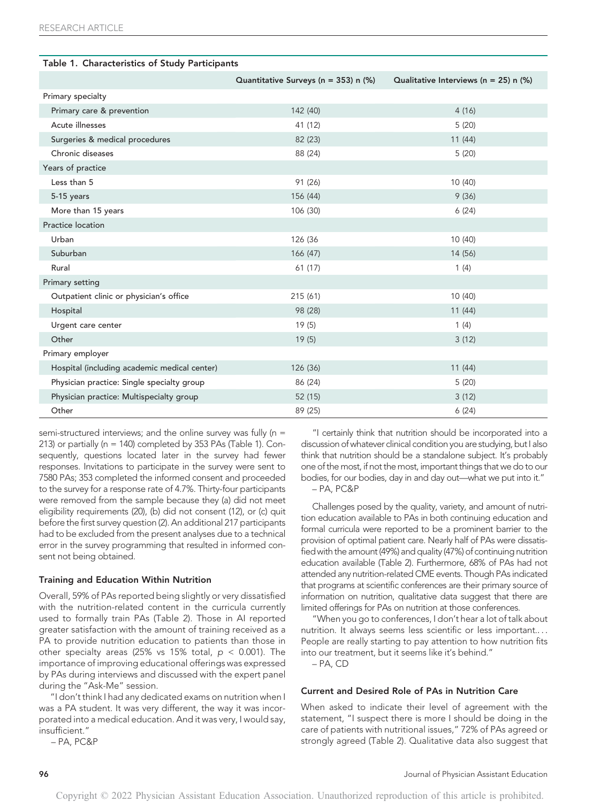| Table 1. Characteristics of Study Participants |                                      |                                           |  |  |  |
|------------------------------------------------|--------------------------------------|-------------------------------------------|--|--|--|
|                                                | Quantitative Surveys (n = 353) n (%) | Qualitative Interviews ( $n = 25$ ) n (%) |  |  |  |
| Primary specialty                              |                                      |                                           |  |  |  |
| Primary care & prevention                      | 142 (40)                             | 4(16)                                     |  |  |  |
| Acute illnesses                                | 41 (12)                              | 5(20)                                     |  |  |  |
| Surgeries & medical procedures                 | 82 (23)                              | 11(44)                                    |  |  |  |
| Chronic diseases                               | 88 (24)                              | 5(20)                                     |  |  |  |
| Years of practice                              |                                      |                                           |  |  |  |
| Less than 5                                    | 91 (26)                              | 10 (40)                                   |  |  |  |
| 5-15 years                                     | 156 (44)                             | 9(36)                                     |  |  |  |
| More than 15 years                             | 106 (30)                             | 6(24)                                     |  |  |  |
| Practice location                              |                                      |                                           |  |  |  |
| Urban                                          | 126 (36                              | 10(40)                                    |  |  |  |
| Suburban                                       | 166 (47)                             | 14 (56)                                   |  |  |  |
| Rural                                          | 61(17)                               | 1(4)                                      |  |  |  |
| Primary setting                                |                                      |                                           |  |  |  |
| Outpatient clinic or physician's office        | 215(61)                              | 10(40)                                    |  |  |  |
| Hospital                                       | 98 (28)                              | 11(44)                                    |  |  |  |
| Urgent care center                             | 19(5)                                | 1(4)                                      |  |  |  |
| Other                                          | 19(5)                                | 3(12)                                     |  |  |  |
| Primary employer                               |                                      |                                           |  |  |  |
| Hospital (including academic medical center)   | 126 (36)                             | 11(44)                                    |  |  |  |
| Physician practice: Single specialty group     | 86 (24)                              | 5(20)                                     |  |  |  |
| Physician practice: Multispecialty group       | 52 (15)                              | 3(12)                                     |  |  |  |
| Other                                          | 89 (25)                              | 6(24)                                     |  |  |  |

semi-structured interviews; and the online survey was fully ( $n =$ 213) or partially (n = 140) completed by 353 PAs (Table 1). Consequently, questions located later in the survey had fewer responses. Invitations to participate in the survey were sent to 7580 PAs; 353 completed the informed consent and proceeded to the survey for a response rate of 4.7%. Thirty-four participants were removed from the sample because they (a) did not meet eligibility requirements (20), (b) did not consent (12), or (c) quit before the first survey question (2). An additional 217 participants had to be excluded from the present analyses due to a technical error in the survey programming that resulted in informed consent not being obtained.

# Training and Education Within Nutrition

Overall, 59% of PAs reported being slightly or very dissatisfied with the nutrition-related content in the curricula currently used to formally train PAs (Table 2). Those in AI reported greater satisfaction with the amount of training received as a PA to provide nutrition education to patients than those in other specialty areas (25% vs 15% total,  $p < 0.001$ ). The importance of improving educational offerings was expressed by PAs during interviews and discussed with the expert panel during the "Ask-Me" session.

"I don't think I had any dedicated exams on nutrition when I was a PA student. It was very different, the way it was incorporated into a medical education. And it was very, I would say, insufficient."

– PA, PC&P

"I certainly think that nutrition should be incorporated into a discussion of whatever clinical condition you are studying, but I also think that nutrition should be a standalone subject. It's probably one of the most, if not the most, important things that we do to our bodies, for our bodies, day in and day out—what we put into it." – PA, PC&P

Challenges posed by the quality, variety, and amount of nutrition education available to PAs in both continuing education and formal curricula were reported to be a prominent barrier to the provision of optimal patient care. Nearly half of PAs were dissatisfied with the amount (49%) and quality (47%) of continuing nutrition education available (Table 2). Furthermore, 68% of PAs had not attended any nutrition-related CME events. Though PAs indicated that programs at scientific conferences are their primary source of information on nutrition, qualitative data suggest that there are limited offerings for PAs on nutrition at those conferences.

"When you go to conferences, I don't hear a lot of talk about nutrition. It always seems less scientific or less important.... People are really starting to pay attention to how nutrition fits into our treatment, but it seems like it's behind."

– PA, CD

#### Current and Desired Role of PAs in Nutrition Care

When asked to indicate their level of agreement with the statement, "I suspect there is more I should be doing in the care of patients with nutritional issues," 72% of PAs agreed or strongly agreed (Table 2). Qualitative data also suggest that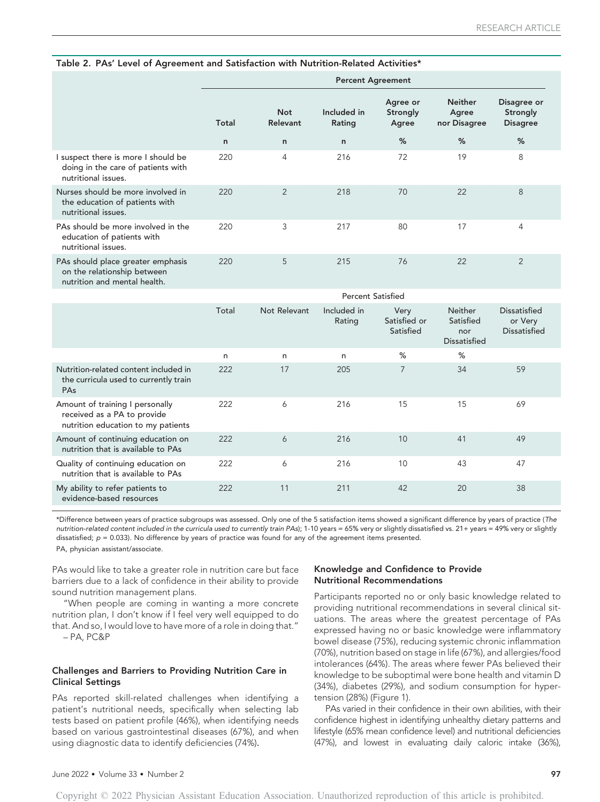| Table 2. PAs' Level of Agreement and Satisfaction with Nutrition-Related Activities*             |                          |                               |                       |                               |                                         |                                            |  |
|--------------------------------------------------------------------------------------------------|--------------------------|-------------------------------|-----------------------|-------------------------------|-----------------------------------------|--------------------------------------------|--|
|                                                                                                  | <b>Percent Agreement</b> |                               |                       |                               |                                         |                                            |  |
|                                                                                                  | Total                    | <b>Not</b><br><b>Relevant</b> | Included in<br>Rating | Agree or<br>Strongly<br>Agree | <b>Neither</b><br>Agree<br>nor Disagree | Disagree or<br>Strongly<br><b>Disagree</b> |  |
|                                                                                                  | n                        | $\mathsf{n}$                  | n                     | %                             | %                                       | %                                          |  |
| I suspect there is more I should be<br>doing in the care of patients with<br>nutritional issues. | 220                      | 4                             | 216                   | 72                            | 19                                      | 8                                          |  |
| Nurses should be more involved in<br>the education of patients with<br>nutritional issues.       | 220                      | 2                             | 218                   | 70                            | 22                                      | 8                                          |  |
| PAs should be more involved in the<br>education of patients with<br>nutritional issues.          | 220                      | 3                             | 217                   | 80                            | 17                                      | 4                                          |  |
| PAs should place greater emphasis<br>on the relationship between                                 | 220                      | 5                             | 215                   | 76                            | 22                                      | $\overline{2}$                             |  |

# Table 2. PAs' Level of Agreement and Satisfaction with Nutrition-Related Activities\*

on the relationship between nutrition and mental health.

|                                                                                                      | <b>Percent Satisfied</b> |              |                       |                                   |                                                           |                                                |  |
|------------------------------------------------------------------------------------------------------|--------------------------|--------------|-----------------------|-----------------------------------|-----------------------------------------------------------|------------------------------------------------|--|
|                                                                                                      | Total                    | Not Relevant | Included in<br>Rating | Very<br>Satisfied or<br>Satisfied | <b>Neither</b><br>Satisfied<br>nor<br><b>Dissatisfied</b> | Dissatisfied<br>or Very<br><b>Dissatisfied</b> |  |
|                                                                                                      | n                        | n            | n                     | %                                 | %                                                         |                                                |  |
| Nutrition-related content included in<br>the curricula used to currently train<br><b>PAs</b>         | 222                      | 17           | 205                   | 7                                 | 34                                                        | 59                                             |  |
| Amount of training I personally<br>received as a PA to provide<br>nutrition education to my patients | 222                      | 6            | 216                   | 15                                | 15                                                        | 69                                             |  |
| Amount of continuing education on<br>nutrition that is available to PAs                              | 222                      | 6            | 216                   | 10                                | 41                                                        | 49                                             |  |
| Quality of continuing education on<br>nutrition that is available to PAs                             | 222                      | 6            | 216                   | 10                                | 43                                                        | 47                                             |  |
| My ability to refer patients to<br>evidence-based resources                                          | 222                      | 11           | 211                   | 42                                | 20                                                        | 38                                             |  |

\*Difference between years of practice subgroups was assessed. Only one of the 5 satisfaction items showed a significant difference by years of practice (The nutrition-related content included in the curricula used to currently train PAs); 1-10 years = 65% very or slightly dissatisfied vs. 21+ years = 49% very or slightly dissatisfied;  $p = 0.033$ ). No difference by years of practice was found for any of the agreement items presented. PA, physician assistant/associate.

PAs would like to take a greater role in nutrition care but face barriers due to a lack of confidence in their ability to provide sound nutrition management plans.

"When people are coming in wanting a more concrete nutrition plan, I don't know if I feel very well equipped to do that. And so, I would love to have more of a role in doing that."

– PA, PC&P

# Challenges and Barriers to Providing Nutrition Care in Clinical Settings

PAs reported skill-related challenges when identifying a patient's nutritional needs, specifically when selecting lab tests based on patient profile (46%), when identifying needs based on various gastrointestinal diseases (67%), and when using diagnostic data to identify deficiencies (74%).

# Knowledge and Confidence to Provide Nutritional Recommendations

Participants reported no or only basic knowledge related to providing nutritional recommendations in several clinical situations. The areas where the greatest percentage of PAs expressed having no or basic knowledge were inflammatory bowel disease (75%), reducing systemic chronic inflammation (70%), nutrition based on stage in life (67%), and allergies/food intolerances (64%). The areas where fewer PAs believed their knowledge to be suboptimal were bone health and vitamin D (34%), diabetes (29%), and sodium consumption for hypertension (28%) (Figure 1).

PAs varied in their confidence in their own abilities, with their confidence highest in identifying unhealthy dietary patterns and lifestyle (65% mean confidence level) and nutritional deficiencies (47%), and lowest in evaluating daily caloric intake (36%),

Copyright © 2022 Physician Assistant Education Association. Unauthorized reproduction of this article is prohibited.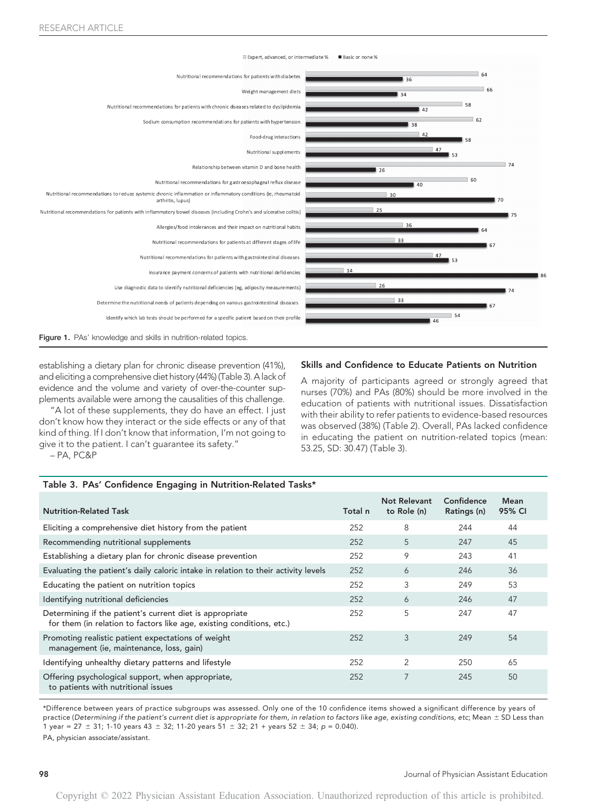

establishing a dietary plan for chronic disease prevention (41%), and eliciting a comprehensive diet history (44%) (Table 3). A lack of evidence and the volume and variety of over-the-counter supplements available were among the causalities of this challenge.

"A lot of these supplements, they do have an effect. I just don't know how they interact or the side effects or any of that kind of thing. If I don't know that information, I'm not going to give it to the patient. I can't guarantee its safety."

– PA, PC&P

### Skills and Confidence to Educate Patients on Nutrition

A majority of participants agreed or strongly agreed that nurses (70%) and PAs (80%) should be more involved in the education of patients with nutritional issues. Dissatisfaction with their ability to refer patients to evidence-based resources was observed (38%) (Table 2). Overall, PAs lacked confidence in educating the patient on nutrition-related topics (mean: 53.25, SD: 30.47) (Table 3).

#### Table 3. PAs' Confidence Engaging in Nutrition-Related Tasks\*

| <b>Nutrition-Related Task</b>                                                                                                     | Total n | Not Relevant<br>to Role (n) | Confidence<br>Ratings (n) | Mean<br>95% CI |  |
|-----------------------------------------------------------------------------------------------------------------------------------|---------|-----------------------------|---------------------------|----------------|--|
| Eliciting a comprehensive diet history from the patient                                                                           | 252     | 8                           | 244                       | 44             |  |
| Recommending nutritional supplements                                                                                              | 252     | 5                           | 247                       | 45             |  |
| Establishing a dietary plan for chronic disease prevention                                                                        | 252     | 9                           | 243                       | 41             |  |
| Evaluating the patient's daily caloric intake in relation to their activity levels                                                | 252     | 6                           | 246                       | 36             |  |
| Educating the patient on nutrition topics                                                                                         | 252     | 3                           | 249                       | 53             |  |
| Identifying nutritional deficiencies                                                                                              | 252     | 6                           | 246                       | 47             |  |
| Determining if the patient's current diet is appropriate<br>for them (in relation to factors like age, existing conditions, etc.) | 252     | 5                           | 247                       | 47             |  |
| Promoting realistic patient expectations of weight<br>management (ie, maintenance, loss, gain)                                    | 252     | 3                           | 249                       | 54             |  |
| Identifying unhealthy dietary patterns and lifestyle                                                                              | 252     | $\overline{2}$              | 250                       | 65             |  |
| Offering psychological support, when appropriate,<br>to patients with nutritional issues                                          | 252     | 7                           | 245                       | 50             |  |

\*Difference between years of practice subgroups was assessed. Only one of the 10 confidence items showed a significant difference by years of practice (Determining if the patient's current diet is appropriate for them, in relation to factors like age, existing conditions, etc; Mean  $\pm$  SD Less than 1 year = 27  $\pm$  31; 1-10 years 43  $\pm$  32; 11-20 years 51  $\pm$  32; 21 + years 52  $\pm$  34; p = 0.040).

PA, physician associate/assistant.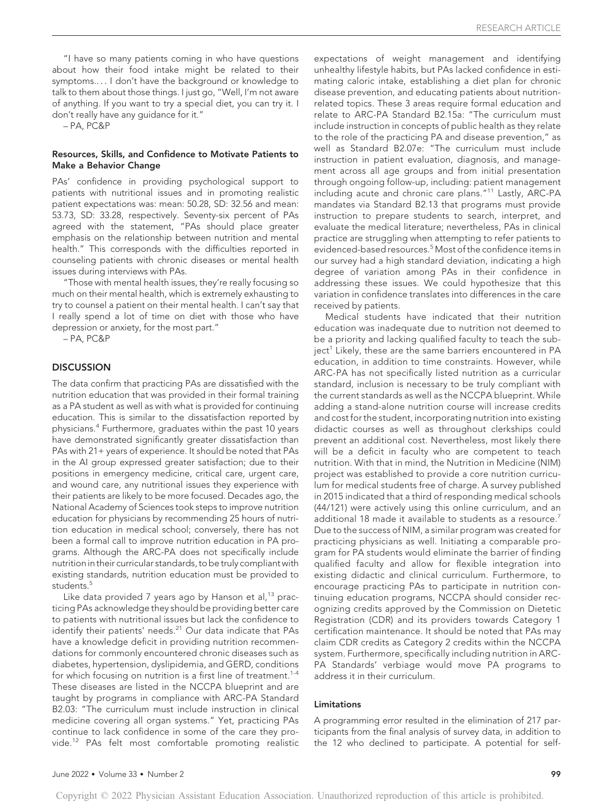"I have so many patients coming in who have questions about how their food intake might be related to their symptoms.... I don't have the background or knowledge to talk to them about those things. I just go, "Well, I'm not aware of anything. If you want to try a special diet, you can try it. I don't really have any guidance for it."

– PA, PC&P

## Resources, Skills, and Confidence to Motivate Patients to Make a Behavior Change

PAs' confidence in providing psychological support to patients with nutritional issues and in promoting realistic patient expectations was: mean: 50.28, SD: 32.56 and mean: 53.73, SD: 33.28, respectively. Seventy-six percent of PAs agreed with the statement, "PAs should place greater emphasis on the relationship between nutrition and mental health." This corresponds with the difficulties reported in counseling patients with chronic diseases or mental health issues during interviews with PAs.

"Those with mental health issues, they're really focusing so much on their mental health, which is extremely exhausting to try to counsel a patient on their mental health. I can't say that I really spend a lot of time on diet with those who have depression or anxiety, for the most part."

– PA, PC&P

# **DISCUSSION**

The data confirm that practicing PAs are dissatisfied with the nutrition education that was provided in their formal training as a PA student as well as with what is provided for continuing education. This is similar to the dissatisfaction reported by physicians.<sup>4</sup> Furthermore, graduates within the past 10 years have demonstrated significantly greater dissatisfaction than PAs with 21+ years of experience. It should be noted that PAs in the AI group expressed greater satisfaction; due to their positions in emergency medicine, critical care, urgent care, and wound care, any nutritional issues they experience with their patients are likely to be more focused. Decades ago, the National Academy of Sciences took steps to improve nutrition education for physicians by recommending 25 hours of nutrition education in medical school; conversely, there has not been a formal call to improve nutrition education in PA programs. Although the ARC-PA does not specifically include nutrition in their curricular standards, to be truly compliant with existing standards, nutrition education must be provided to students.<sup>5</sup>

Like data provided 7 years ago by Hanson et al, $^{13}$  practicing PAs acknowledge they should be providing better care to patients with nutritional issues but lack the confidence to identify their patients' needs.<sup>21</sup> Our data indicate that PAs have a knowledge deficit in providing nutrition recommendations for commonly encountered chronic diseases such as diabetes, hypertension, dyslipidemia, and GERD, conditions for which focusing on nutrition is a first line of treatment.<sup>1-4</sup> These diseases are listed in the NCCPA blueprint and are taught by programs in compliance with ARC-PA Standard B2.03: "The curriculum must include instruction in clinical medicine covering all organ systems." Yet, practicing PAs continue to lack confidence in some of the care they provide.<sup>12</sup> PAs felt most comfortable promoting realistic expectations of weight management and identifying unhealthy lifestyle habits, but PAs lacked confidence in estimating caloric intake, establishing a diet plan for chronic disease prevention, and educating patients about nutritionrelated topics. These 3 areas require formal education and relate to ARC-PA Standard B2.15a: "The curriculum must include instruction in concepts of public health as they relate to the role of the practicing PA and disease prevention," as well as Standard B2.07e: "The curriculum must include instruction in patient evaluation, diagnosis, and management across all age groups and from initial presentation through ongoing follow-up, including: patient management including acute and chronic care plans."<sup>11</sup> Lastly, ARC-PA mandates via Standard B2.13 that programs must provide instruction to prepare students to search, interpret, and evaluate the medical literature; nevertheless, PAs in clinical practice are struggling when attempting to refer patients to evidenced-based resources.<sup>5</sup> Most of the confidence items in our survey had a high standard deviation, indicating a high degree of variation among PAs in their confidence in addressing these issues. We could hypothesize that this variation in confidence translates into differences in the care received by patients.

Medical students have indicated that their nutrition education was inadequate due to nutrition not deemed to be a priority and lacking qualified faculty to teach the subject<sup>1</sup> Likely, these are the same barriers encountered in PA education, in addition to time constraints. However, while ARC-PA has not specifically listed nutrition as a curricular standard, inclusion is necessary to be truly compliant with the current standards as well as the NCCPA blueprint. While adding a stand-alone nutrition course will increase credits and cost for the student, incorporating nutrition into existing didactic courses as well as throughout clerkships could prevent an additional cost. Nevertheless, most likely there will be a deficit in faculty who are competent to teach nutrition. With that in mind, the Nutrition in Medicine (NIM) project was established to provide a core nutrition curriculum for medical students free of charge. A survey published in 2015 indicated that a third of responding medical schools (44/121) were actively using this online curriculum, and an additional 18 made it available to students as a resource.<sup>7</sup> Due to the success of NIM, a similar program was created for practicing physicians as well. Initiating a comparable program for PA students would eliminate the barrier of finding qualified faculty and allow for flexible integration into existing didactic and clinical curriculum. Furthermore, to encourage practicing PAs to participate in nutrition continuing education programs, NCCPA should consider recognizing credits approved by the Commission on Dietetic Registration (CDR) and its providers towards Category 1 certification maintenance. It should be noted that PAs may claim CDR credits as Category 2 credits within the NCCPA system. Furthermore, specifically including nutrition in ARC-PA Standards' verbiage would move PA programs to address it in their curriculum.

# Limitations

A programming error resulted in the elimination of 217 participants from the final analysis of survey data, in addition to the 12 who declined to participate. A potential for self-

Copyright © 2022 Physician Assistant Education Association. Unauthorized reproduction of this article is prohibited.